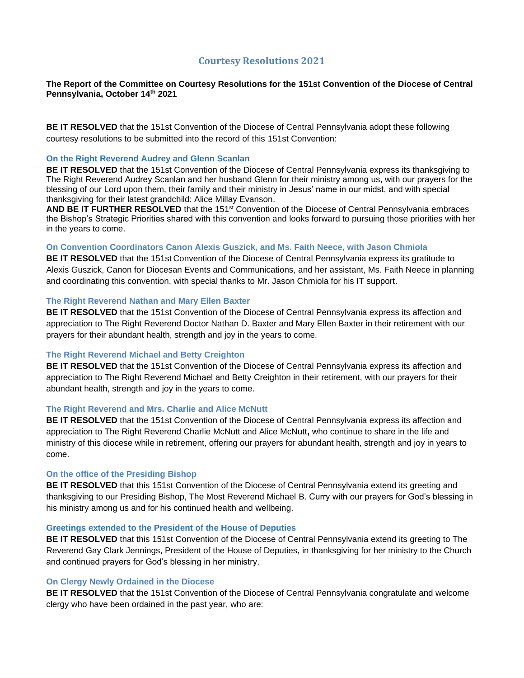# **Courtesy Resolutions 2021**

# **The Report of the Committee on Courtesy Resolutions for the 151st Convention of the Diocese of Central Pennsylvania, October 14 th 2021**

**BE IT RESOLVED** that the 151st Convention of the Diocese of Central Pennsylvania adopt these following courtesy resolutions to be submitted into the record of this 151st Convention:

#### **On the Right Reverend Audrey and Glenn Scanlan**

**BE IT RESOLVED** that the 151st Convention of the Diocese of Central Pennsylvania express its thanksgiving to The Right Reverend Audrey Scanlan and her husband Glenn for their ministry among us, with our prayers for the blessing of our Lord upon them, their family and their ministry in Jesus' name in our midst, and with special thanksgiving for their latest grandchild: Alice Millay Evanson.

**AND BE IT FURTHER RESOLVED** that the 151st Convention of the Diocese of Central Pennsylvania embraces the Bishop's Strategic Priorities shared with this convention and looks forward to pursuing those priorities with her in the years to come.

### **On Convention Coordinators Canon Alexis Guszick, and Ms. Faith Neece, with Jason Chmiola**

**BE IT RESOLVED** that the 151st Convention of the Diocese of Central Pennsylvania express its gratitude to Alexis Guszick, Canon for Diocesan Events and Communications, and her assistant, Ms. Faith Neece in planning and coordinating this convention, with special thanks to Mr. Jason Chmiola for his IT support.

#### **The Right Reverend Nathan and Mary Ellen Baxter**

**BE IT RESOLVED** that the 151st Convention of the Diocese of Central Pennsylvania express its affection and appreciation to The Right Reverend Doctor Nathan D. Baxter and Mary Ellen Baxter in their retirement with our prayers for their abundant health, strength and joy in the years to come.

# **The Right Reverend Michael and Betty Creighton**

**BE IT RESOLVED** that the 151st Convention of the Diocese of Central Pennsylvania express its affection and appreciation to The Right Reverend Michael and Betty Creighton in their retirement, with our prayers for their abundant health, strength and joy in the years to come.

#### **The Right Reverend and Mrs. Charlie and Alice McNutt**

**BE IT RESOLVED** that the 151st Convention of the Diocese of Central Pennsylvania express its affection and appreciation to The Right Reverend Charlie McNutt and Alice McNutt**,** who continue to share in the life and ministry of this diocese while in retirement, offering our prayers for abundant health, strength and joy in years to come.

#### **On the office of the Presiding Bishop**

**BE IT RESOLVED** that this 151st Convention of the Diocese of Central Pennsylvania extend its greeting and thanksgiving to our Presiding Bishop, The Most Reverend Michael B. Curry with our prayers for God's blessing in his ministry among us and for his continued health and wellbeing.

#### **Greetings extended to the President of the House of Deputies**

**BE IT RESOLVED** that this 151st Convention of the Diocese of Central Pennsylvania extend its greeting to The Reverend Gay Clark Jennings, President of the House of Deputies, in thanksgiving for her ministry to the Church and continued prayers for God's blessing in her ministry.

#### **On Clergy Newly Ordained in the Diocese**

**BE IT RESOLVED** that the 151st Convention of the Diocese of Central Pennsylvania congratulate and welcome clergy who have been ordained in the past year, who are: